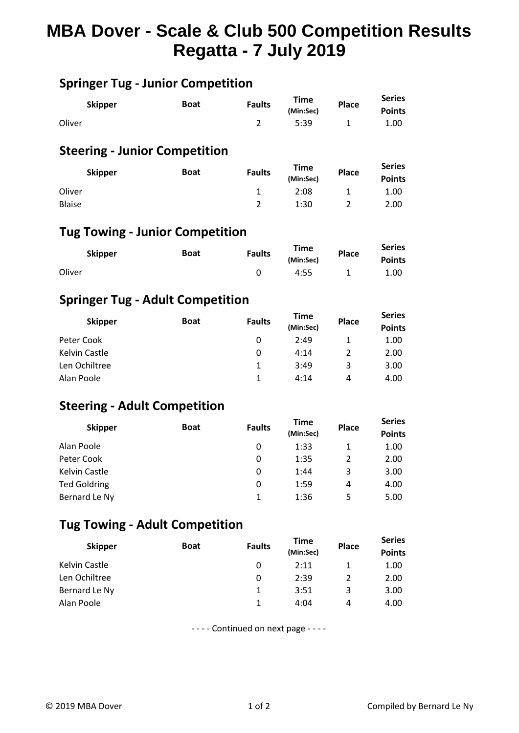# **MBA Dover - Scale & Club 500 Competition Results Regatta - 7 July 2019**

# **Springer Tug - Junior Competition**

|        | <b>Skipper</b> | <b>Boat</b> | <b>Faults</b> | Time<br>(Min:Sec) | Place | <b>Series</b><br><b>Points</b> |  |
|--------|----------------|-------------|---------------|-------------------|-------|--------------------------------|--|
| Oliver |                |             |               | 5:39              |       | 1.00                           |  |

#### **Steering - Junior Competition**

| <b>Skipper</b> | <b>Boat</b> | <b>Faults</b> | <b>Time</b><br>(Min:Sec) | <b>Place</b> | <b>Series</b><br><b>Points</b> |  |
|----------------|-------------|---------------|--------------------------|--------------|--------------------------------|--|
| Oliver         |             |               | 2:08                     |              | 1.00                           |  |
| <b>Blaise</b>  |             |               | 1:30                     |              | 2.00                           |  |

### **Tug Towing - Junior Competition**

|        | <b>Skipper</b> | Boat | <b>Faults</b> | <b>Time</b><br>(Min:Sec) | Place | <b>Series</b><br><b>Points</b> |  |
|--------|----------------|------|---------------|--------------------------|-------|--------------------------------|--|
| Oliver |                |      |               | 4:55                     |       | 1.00                           |  |

#### **Springer Tug - Adult Competition**

| <b>Skipper</b> | <b>Boat</b> | <b>Faults</b> | Time<br>(Min:Sec) | Place | <b>Series</b><br><b>Points</b> |  |
|----------------|-------------|---------------|-------------------|-------|--------------------------------|--|
| Peter Cook     |             | 0             | 2:49              |       | 1.00                           |  |
| Kelvin Castle  |             | 0             | 4:14              |       | 2.00                           |  |
| Len Ochiltree  |             | 1             | 3:49              | 3     | 3.00                           |  |
| Alan Poole     |             |               | 4:14              | 4     | 4.00                           |  |

#### **Steering - Adult Competition**

| <b>Skipper</b>      | <b>Boat</b> | <b>Faults</b> | <b>Time</b><br>(Min:Sec) | Place | <b>Series</b><br><b>Points</b> |  |
|---------------------|-------------|---------------|--------------------------|-------|--------------------------------|--|
| Alan Poole          |             | 0             | 1:33                     |       | 1.00                           |  |
| Peter Cook          |             | 0             | 1:35                     |       | 2.00                           |  |
| Kelvin Castle       |             | 0             | 1:44                     | 3     | 3.00                           |  |
| <b>Ted Goldring</b> |             | 0             | 1:59                     | 4     | 4.00                           |  |
| Bernard Le Ny       |             |               | 1:36                     | 5     | 5.00                           |  |

## **Tug Towing - Adult Competition**

| <b>Skipper</b> | <b>Boat</b> | <b>Faults</b> | <b>Time</b><br>(Min:Sec) | <b>Place</b> | <b>Series</b><br><b>Points</b> |  |
|----------------|-------------|---------------|--------------------------|--------------|--------------------------------|--|
| Kelvin Castle  |             | 0             | 2:11                     |              | 1.00                           |  |
| Len Ochiltree  |             | 0             | 2:39                     |              | 2.00                           |  |
| Bernard Le Ny  |             | 1             | 3:51                     | 3            | 3.00                           |  |
| Alan Poole     |             |               | 4:04                     | 4            | 4.00                           |  |

- - - - Continued on next page - - - -